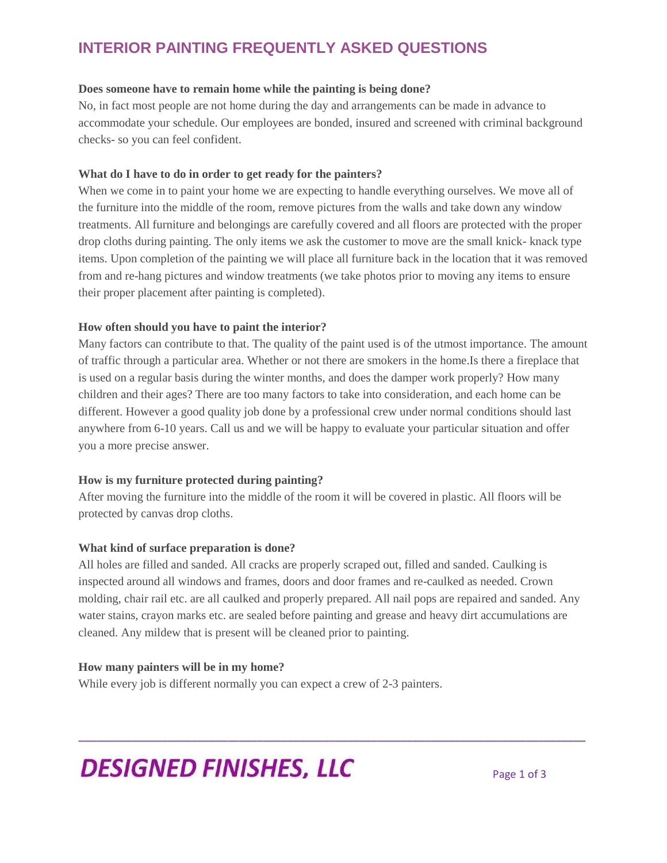# **INTERIOR PAINTING FREQUENTLY ASKED QUESTIONS**

## **Does someone have to remain home while the painting is being done?**

No, in fact most people are not home during the day and arrangements can be made in advance to accommodate your schedule. Our employees are bonded, insured and screened with criminal background checks- so you can feel confident.

# **What do I have to do in order to get ready for the painters?**

When we come in to paint your home we are expecting to handle everything ourselves. We move all of the furniture into the middle of the room, remove pictures from the walls and take down any window treatments. All furniture and belongings are carefully covered and all floors are protected with the proper drop cloths during painting. The only items we ask the customer to move are the small knick- knack type items. Upon completion of the painting we will place all furniture back in the location that it was removed from and re-hang pictures and window treatments (we take photos prior to moving any items to ensure their proper placement after painting is completed).

# **How often should you have to paint the interior?**

Many factors can contribute to that. The quality of the paint used is of the utmost importance. The amount of traffic through a particular area. Whether or not there are smokers in the home.Is there a fireplace that is used on a regular basis during the winter months, and does the damper work properly? How many children and their ages? There are too many factors to take into consideration, and each home can be different. However a good quality job done by a professional crew under normal conditions should last anywhere from 6-10 years. Call us and we will be happy to evaluate your particular situation and offer you a more precise answer.

# **How is my furniture protected during painting?**

After moving the furniture into the middle of the room it will be covered in plastic. All floors will be protected by canvas drop cloths.

# **What kind of surface preparation is done?**

All holes are filled and sanded. All cracks are properly scraped out, filled and sanded. Caulking is inspected around all windows and frames, doors and door frames and re-caulked as needed. Crown molding, chair rail etc. are all caulked and properly prepared. All nail pops are repaired and sanded. Any water stains, crayon marks etc. are sealed before painting and grease and heavy dirt accumulations are cleaned. Any mildew that is present will be cleaned prior to painting.

\_\_\_\_\_\_\_\_\_\_\_\_\_\_\_\_\_\_\_\_\_\_\_\_\_\_\_\_\_\_\_\_\_\_\_\_\_\_\_\_\_\_\_\_\_\_\_\_\_\_\_\_\_\_\_\_\_\_\_\_\_\_\_\_\_\_\_\_\_\_\_\_\_\_\_\_\_\_\_\_\_\_\_\_\_

# **How many painters will be in my home?**

While every job is different normally you can expect a crew of 2-3 painters.

# **DESIGNED FINISHES, LLC**  $_{Page 1 of 3}$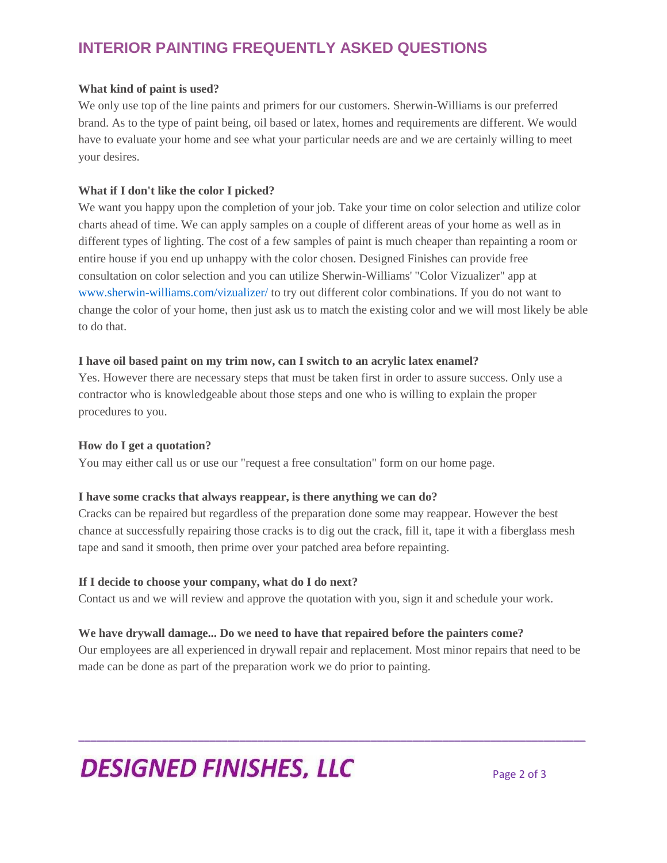# **INTERIOR PAINTING FREQUENTLY ASKED QUESTIONS**

# **What kind of paint is used?**

We only use top of the line paints and primers for our customers. Sherwin-Williams is our preferred brand. As to the type of paint being, oil based or latex, homes and requirements are different. We would have to evaluate your home and see what your particular needs are and we are certainly willing to meet your desires.

# **What if I don't like the color I picked?**

We want you happy upon the completion of your job. Take your time on color selection and utilize color charts ahead of time. We can apply samples on a couple of different areas of your home as well as in different types of lighting. The cost of a few samples of paint is much cheaper than repainting a room or entire house if you end up unhappy with the color chosen. Designed Finishes can provide free consultation on color selection and you can utilize Sherwin-Williams' "Color Vizualizer" app at [www.sherwin-williams.com/vizualizer/](http://www.sherwin-williams.com/vizualizer/) to try out different color combinations. If you do not want to change the color of your home, then just ask us to match the existing color and we will most likely be able to do that.

### **I have oil based paint on my trim now, can I switch to an acrylic latex enamel?**

Yes. However there are necessary steps that must be taken first in order to assure success. Only use a contractor who is knowledgeable about those steps and one who is willing to explain the proper procedures to you.

#### **How do I get a quotation?**

You may either call us or use our "request a free consultation" form on our home page.

#### **I have some cracks that always reappear, is there anything we can do?**

Cracks can be repaired but regardless of the preparation done some may reappear. However the best chance at successfully repairing those cracks is to dig out the crack, fill it, tape it with a fiberglass mesh tape and sand it smooth, then prime over your patched area before repainting.

# **If I decide to choose your company, what do I do next?**

Contact us and we will review and approve the quotation with you, sign it and schedule your work.

# **We have drywall damage... Do we need to have that repaired before the painters come?**

Our employees are all experienced in drywall repair and replacement. Most minor repairs that need to be made can be done as part of the preparation work we do prior to painting.

\_\_\_\_\_\_\_\_\_\_\_\_\_\_\_\_\_\_\_\_\_\_\_\_\_\_\_\_\_\_\_\_\_\_\_\_\_\_\_\_\_\_\_\_\_\_\_\_\_\_\_\_\_\_\_\_\_\_\_\_\_\_\_\_\_\_\_\_\_\_\_\_\_\_\_\_\_\_\_\_\_\_\_\_\_

# **DESIGNED FINISHES, LLC** Page 2 of 3